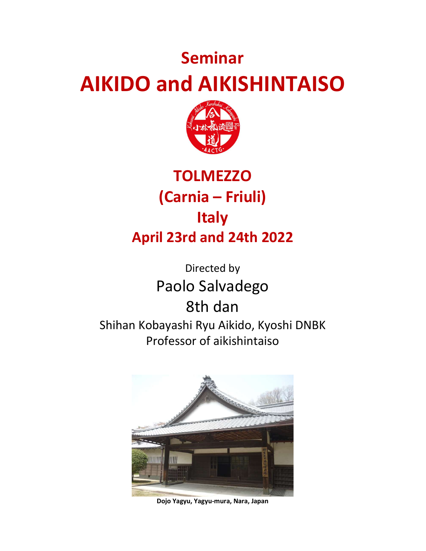# Seminar

# AIKIDO and AIKISHINTAISO



# **TOLMEZZO** (Carnia – Friuli) Italy April 23rd and 24th 2022

Directed by Paolo Salvadego 8th dan Shihan Kobayashi Ryu Aikido, Kyoshi DNBK Professor of aikishintaiso



Dojo Yagyu, Yagyu-mura, Nara, Japan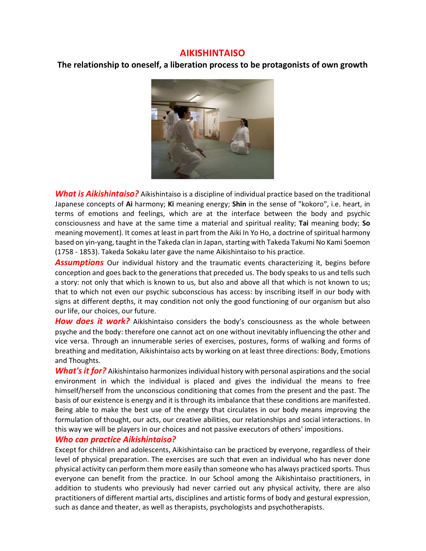## AIKISHINTAISO

The relationship to oneself, a liberation process to be protagonists of own growth



**What is Aikishintaiso?** Aikishintaiso is a discipline of individual practice based on the traditional Japanese concepts of Ai harmony; Ki meaning energy; Shin in the sense of "kokoro", i.e. heart, in terms of emotions and feelings, which are at the interface between the body and psychic consciousness and have at the same time a material and spiritual reality; Tai meaning body; So meaning movement). It comes at least in part from the Aiki In Yo Ho, a doctrine of spiritual harmony based on yin-yang, taught in the Takeda clan in Japan, starting with Takeda Takumi No Kami Soemon (1758 - 1853). Takeda Sokaku later gave the name Aikishintaiso to his practice.

Assumptions Our individual history and the traumatic events characterizing it, begins before conception and goes back to the generations that preceded us. The body speaks to us and tells such a story: not only that which is known to us, but also and above all that which is not known to us; that to which not even our psychic subconscious has access: by inscribing itself in our body with signs at different depths, it may condition not only the good functioning of our organism but also our life, our choices, our future.

How does it work? Aikishintaiso considers the body's consciousness as the whole between psyche and the body: therefore one cannot act on one without inevitably influencing the other and vice versa. Through an innumerable series of exercises, postures, forms of walking and forms of breathing and meditation, Aikishintaiso acts by working on at least three directions: Body, Emotions and Thoughts.

**What's it for?** Aikishintaiso harmonizes individual history with personal aspirations and the social environment in which the individual is placed and gives the individual the means to free himself/herself from the unconscious conditioning that comes from the present and the past. The basis of our existence is energy and it is through its imbalance that these conditions are manifested. Being able to make the best use of the energy that circulates in our body means improving the formulation of thought, our acts, our creative abilities, our relationships and social interactions. In this way we will be players in our choices and not passive executors of others' impositions.

#### Who can practice Aikishintaiso?

Except for children and adolescents, Aikishintaiso can be practiced by everyone, regardless of their level of physical preparation. The exercises are such that even an individual who has never done physical activity can perform them more easily than someone who has always practiced sports. Thus everyone can benefit from the practice. In our School among the Aikishintaiso practitioners, in addition to students who previously had never carried out any physical activity, there are also practitioners of different martial arts, disciplines and artistic forms of body and gestural expression, such as dance and theater, as well as therapists, psychologists and psychotherapists.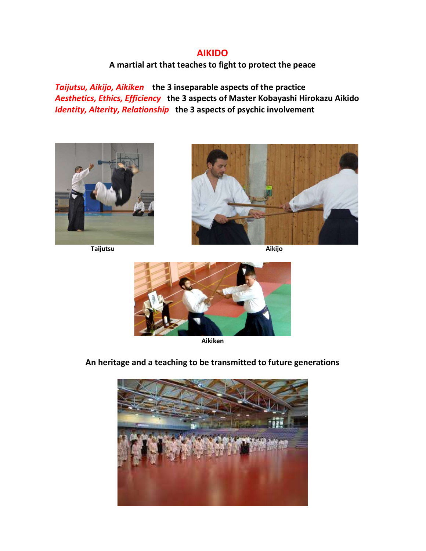## AIKIDO

#### A martial art that teaches to fight to protect the peace

Taijutsu, Aikijo, Aikiken the 3 inseparable aspects of the practice Aesthetics, Ethics, Efficiency the 3 aspects of Master Kobayashi Hirokazu Aikido Identity, Alterity, Relationship the 3 aspects of psychic involvement



Taijutsu Aikijo





Aikiken

# An heritage and a teaching to be transmitted to future generations